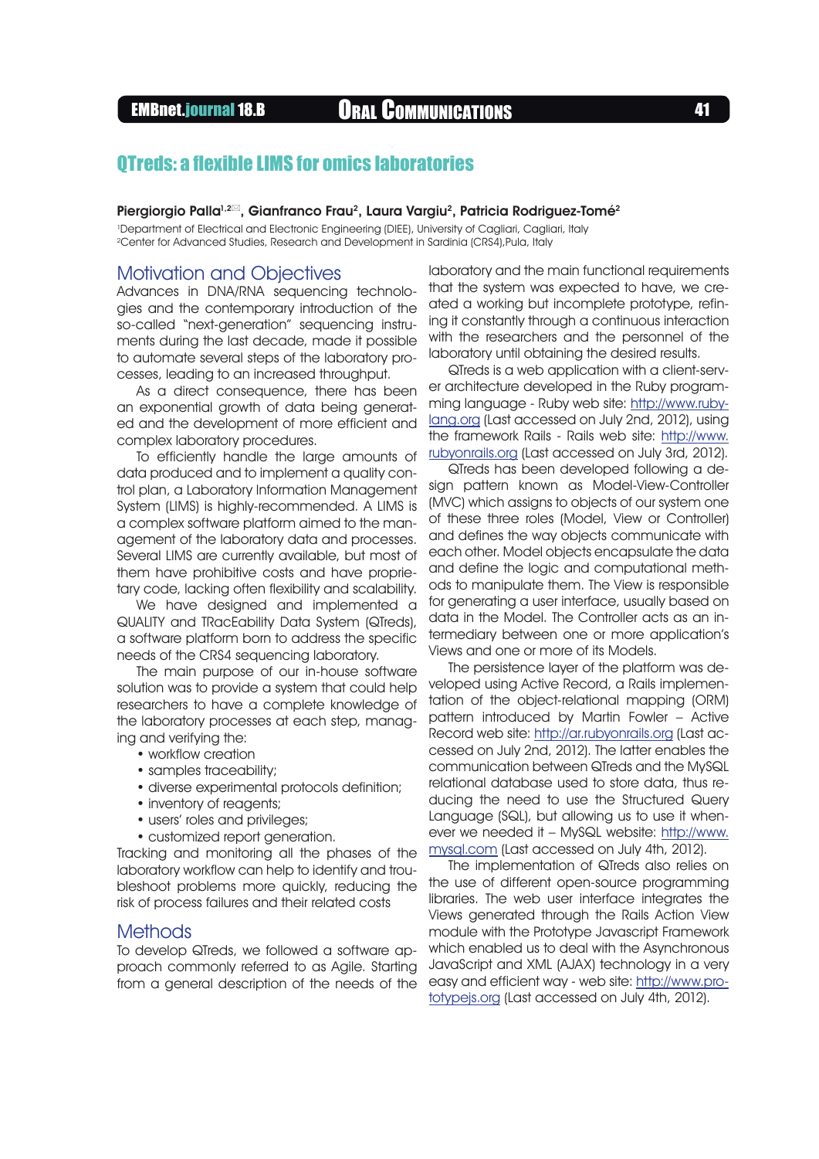# EMBnet.journal 18.B Oral Communications <sup>41</sup>

## QTreds: a flexible LIMS for omics laboratories

Piergiorgio Palla<sup>1,212</sup>, Gianfranco Frau<sup>2</sup>, Laura Vargiu<sup>2</sup>, Patricia Rodriguez-Tomé<sup>2</sup>

1 Department of Electrical and Electronic Engineering (DIEE), University of Cagliari, Cagliari, Italy 2Center for Advanced Studies, Research and Development in Sardinia (CRS4),Pula, Italy

### Motivation and Objectives

Advances in DNA/RNA sequencing technologies and the contemporary introduction of the so-called "next-generation" sequencing instruments during the last decade, made it possible to automate several steps of the laboratory processes, leading to an increased throughput.

As a direct consequence, there has been an exponential growth of data being generated and the development of more efficient and complex laboratory procedures.

To efficiently handle the large amounts of data produced and to implement a quality control plan, a Laboratory Information Management System (HMS) is highly-recommended. A HMS is a complex software platform aimed to the management of the laboratory data and processes. Several LIMS are currently available, but most of them have prohibitive costs and have proprietary code, lacking often flexibility and scalability.

We have designed and implemented a QUALITY and TRacEability Data System (QTreds), a software platform born to address the specific needs of the CRS4 sequencing laboratory.

The main purpose of our in-house software solution was to provide a system that could help researchers to have a complete knowledge of the laboratory processes at each step, managing and verifying the:

- workflow creation
- samples traceability;
- diverse experimental protocols definition;
- inventory of reagents;
- users' roles and privileges;
- customized report generation.

Tracking and monitoring all the phases of the laboratory workflow can help to identify and troubleshoot problems more quickly, reducing the risk of process failures and their related costs

#### **Methods**

To develop QTreds, we followed a software approach commonly referred to as Agile. Starting from a general description of the needs of the laboratory and the main functional requirements that the system was expected to have, we created a working but incomplete prototype, refining it constantly through a continuous interaction with the researchers and the personnel of the laboratory until obtaining the desired results.

QTreds is a web application with a client-server architecture developed in the Ruby programming language - Ruby web site: [http://www.ruby](http://www.ruby-lang.org)[lang.org](http://www.ruby-lang.org) (Last accessed on July 2nd, 2012), using the framework Rails - Rails web site: [http://www.](http://www.rubyonrails.org) [rubyonrails.org](http://www.rubyonrails.org) (Last accessed on July 3rd, 2012).

QTreds has been developed following a design pattern known as Model-View-Controller (MVC) which assigns to objects of our system one of these three roles (Model, View or Controller) and defines the way objects communicate with each other. Model objects encapsulate the data and define the logic and computational methods to manipulate them. The View is responsible for generating a user interface, usually based on data in the Model. The Controller acts as an intermediary between one or more application's Views and one or more of its Models.

The persistence layer of the platform was developed using Active Record, a Rails implementation of the object-relational mapping (ORM) pattern introduced by Martin Fowler – Active Record web site: <http://ar.rubyonrails.org>(Last accessed on July 2nd, 2012). The latter enables the communication between QTreds and the MySQL relational database used to store data, thus reducing the need to use the Structured Query Language (SQL), but allowing us to use it whenever we needed it – MySQL website: [http://www.](http://www.mysql.com) [mysql.com](http://www.mysql.com) (Last accessed on July 4th, 2012).

The implementation of QTreds also relies on the use of different open-source programming libraries. The web user interface integrates the Views generated through the Rails Action View module with the Prototype Javascript Framework which enabled us to deal with the Asynchronous JavaScript and XML (AJAX) technology in a very easy and efficient way - web site: [http://www.pro](http://www.prototypejs.org)[totypejs.org](http://www.prototypejs.org) (Last accessed on July 4th, 2012).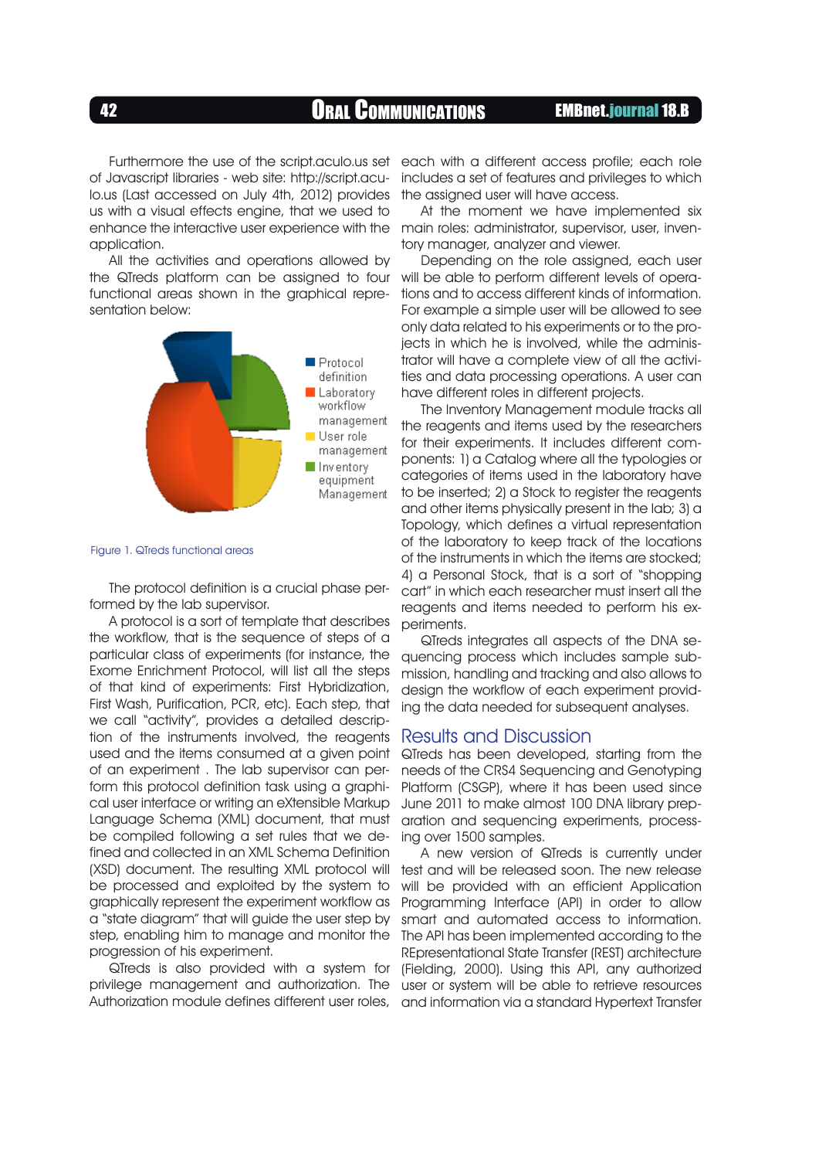<sup>42</sup> Oral Communications EMBnet.journal 18.B

Furthermore the use of the script.aculo.us set of Javascript libraries - web site: http://script.aculo.us (Last accessed on July 4th, 2012) provides us with a visual effects engine, that we used to application.

All the activities and operations allowed by the QTreds platform can be assigned to four functional areas shown in the graphical representation below:



Figure 1. QTreds functional areas

The protocol definition is a crucial phase performed by the lab supervisor.

A protocol is a sort of template that describes the workflow, that is the sequence of steps of a particular class of experiments (for instance, the Exome Enrichment Protocol, will list all the steps of that kind of experiments: First Hybridization, First Wash, Purification, PCR, etc). Each step, that we call "activity", provides a detailed description of the instruments involved, the reagents used and the items consumed at a given point of an experiment . The lab supervisor can perform this protocol definition task using a graphical user interface or writing an eXtensible Markup Language Schema (XML) document, that must be compiled following a set rules that we defined and collected in an XML Schema Definition (XSD) document. The resulting XML protocol will be processed and exploited by the system to graphically represent the experiment workflow as a "state diagram" that will guide the user step by step, enabling him to manage and monitor the progression of his experiment.

QTreds is also provided with a system for privilege management and authorization. The Authorization module defines different user roles,

each with a different access profile; each role includes a set of features and privileges to which the assigned user will have access.

enhance the interactive user experience with the main roles: administrator, supervisor, user, inven-At the moment we have implemented six tory manager, analyzer and viewer.

> Depending on the role assigned, each user will be able to perform different levels of operations and to access different kinds of information. For example a simple user will be allowed to see only data related to his experiments or to the projects in which he is involved, while the administrator will have a complete view of all the activities and data processing operations. A user can have different roles in different projects.

> The Inventory Management module tracks all the reagents and items used by the researchers for their experiments. It includes different components: 1) a Catalog where all the typologies or categories of items used in the laboratory have to be inserted; 2) a Stock to register the reagents and other items physically present in the lab; 3) a Topology, which defines a virtual representation of the laboratory to keep track of the locations of the instruments in which the items are stocked; 4) a Personal Stock, that is a sort of "shopping cart" in which each researcher must insert all the reagents and items needed to perform his experiments.

> QTreds integrates all aspects of the DNA sequencing process which includes sample submission, handling and tracking and also allows to design the workflow of each experiment providing the data needed for subsequent analyses.

#### Results and Discussion

QTreds has been developed, starting from the needs of the CRS4 Sequencing and Genotyping Platform (CSGP), where it has been used since June 2011 to make almost 100 DNA library preparation and sequencing experiments, processing over 1500 samples.

A new version of QTreds is currently under test and will be released soon. The new release will be provided with an efficient Application Programming Interface (API) in order to allow smart and automated access to information. The API has been implemented according to the REpresentational State Transfer (REST) architecture (Fielding, 2000). Using this API, any authorized user or system will be able to retrieve resources and information via a standard Hypertext Transfer